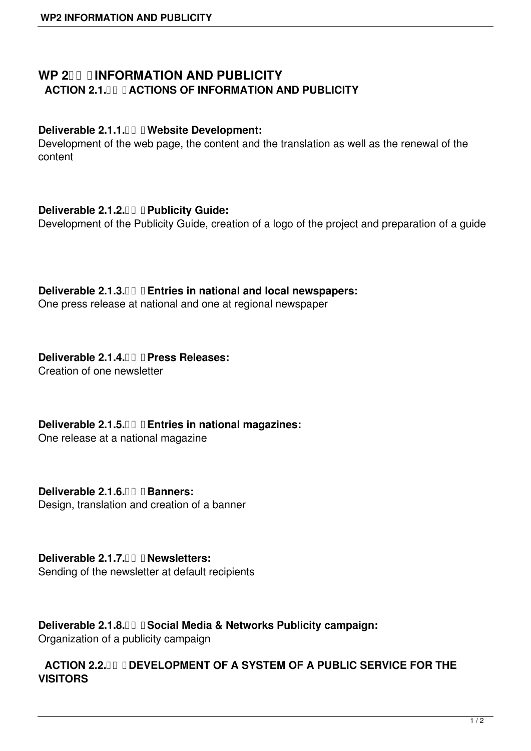# **WP 2 III INFORMATION AND PUBLICITY ACTION 2.1. THE ACTIONS OF INFORMATION AND PUBLICITY**

### **Deliverable 2.1.1. Website Development:**

Development of the web page, the content and the translation as well as the renewal of the content

## **Deliverable 2.1.2. Publicity Guide:**

Development of the Publicity Guide, creation of a logo of the project and preparation of a guide

# **Deliverable 2.1.3. Entries in national and local newspapers:**

One press release at national and one at regional newspaper

# **Deliverable 2.1.4. Press Releases:**

Creation of one newsletter

**Deliverable 2.1.5. Entries in national magazines:**

One release at a national magazine

**Deliverable 2.1.6. Banners:** Design, translation and creation of a banner

#### **Deliverable 2.1.7. Newsletters:** Sending of the newsletter at default recipients

**Deliverable 2.1.8. Social Media & Networks Publicity campaign:** Organization of a publicity campaign

# **ACTION 2.2. O DEVELOPMENT OF A SYSTEM OF A PUBLIC SERVICE FOR THE VISITORS**